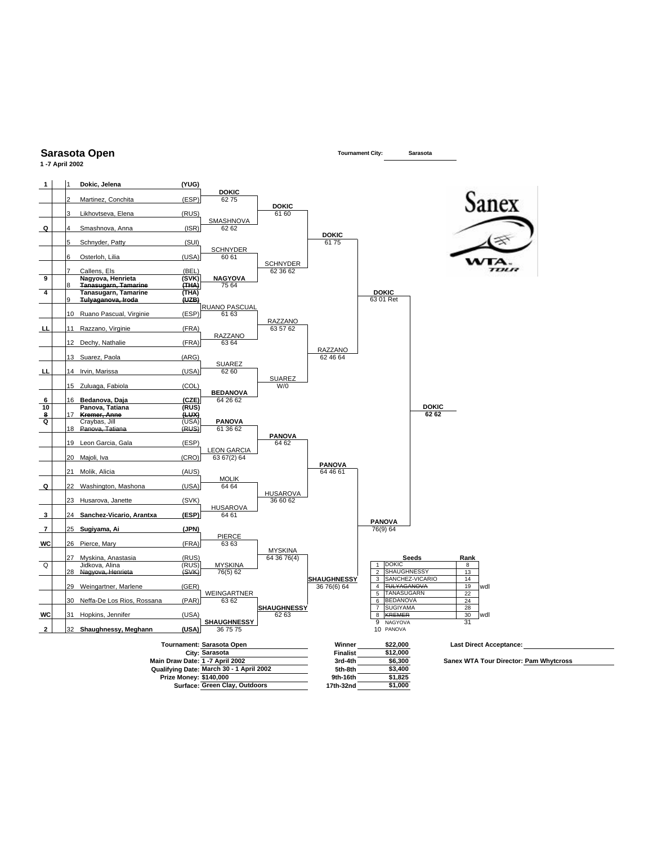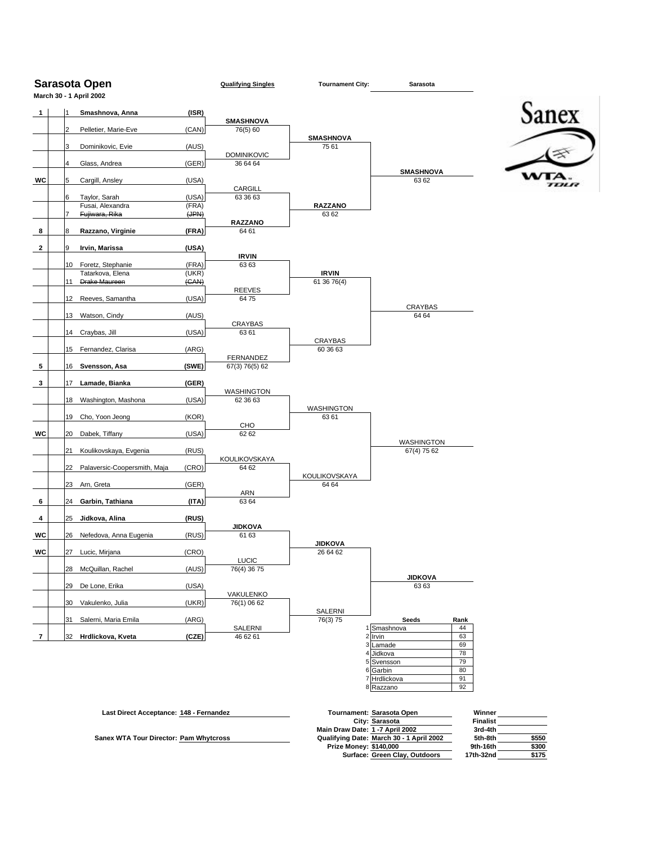|    |                | Sarasota Open<br>March 30 - 1 April 2002 |       | <b>Qualifying Singles</b> | <b>Tournament City:</b>    | Sarasota                 |          |       |
|----|----------------|------------------------------------------|-------|---------------------------|----------------------------|--------------------------|----------|-------|
| 1  | Ι1             | Smashnova, Anna                          | (ISR) |                           |                            |                          |          |       |
|    |                |                                          |       | <b>SMASHNOVA</b>          |                            |                          |          | Sanex |
|    | $\overline{2}$ | Pelletier, Marie-Eve                     | (CAN) | 76(5) 60                  | <b>SMASHNOVA</b>           |                          |          |       |
|    | 3              | Dominikovic, Evie                        | (AUS) |                           | 75 61                      |                          |          |       |
|    |                |                                          |       | <b>DOMINIKOVIC</b>        |                            |                          |          |       |
|    | 4              | Glass, Andrea                            | (GER) | 36 64 64                  |                            | <b>SMASHNOVA</b>         |          |       |
| WC | 5              | Cargill, Ansley                          | (USA) |                           |                            | 63 62                    |          |       |
|    | 6              | Taylor, Sarah                            | (USA) | CARGILL<br>63 36 63       |                            |                          |          |       |
|    |                | Fusai, Alexandra                         | (FRA) |                           | <b>RAZZANO</b>             |                          |          |       |
|    |                | Fujiwara, Rika                           | (HPM) |                           | 63 62                      |                          |          |       |
|    | 8              | Razzano, Virginie                        | (FRA) | <b>RAZZANO</b><br>64 61   |                            |                          |          |       |
|    |                |                                          |       |                           |                            |                          |          |       |
|    | 9              | Irvin, Marissa                           | (USA) | <b>IRVIN</b>              |                            |                          |          |       |
|    | 10             | Foretz, Stephanie                        | (FRA) | 6363                      |                            |                          |          |       |
|    |                | Tatarkova, Elena                         | (UKR) |                           | <b>IRVIN</b>               |                          |          |       |
|    | 11             | Drake Maureen                            | (CAN) | <b>REEVES</b>             | 61 36 76(4)                |                          |          |       |
|    | 12             | Reeves, Samantha                         | (USA) | 6475                      |                            |                          |          |       |
|    | 13             |                                          |       |                           |                            | CRAYBAS<br>64 64         |          |       |
|    |                | Watson, Cindy                            | (AUS) | CRAYBAS                   |                            |                          |          |       |
|    | 14             | Craybas, Jill                            | (USA) | 6361                      |                            |                          |          |       |
|    |                | 15 Fernandez, Clarisa                    | (ARG) |                           | CRAYBAS<br>60 36 63        |                          |          |       |
|    |                |                                          |       | <b>FERNANDEZ</b>          |                            |                          |          |       |
|    | 16             | Svensson, Asa                            | (SWE) | 67(3) 76(5) 62            |                            |                          |          |       |
|    | 17             | Lamade, Bianka                           | (GER) |                           |                            |                          |          |       |
|    |                |                                          |       | WASHINGTON                |                            |                          |          |       |
|    | 18             | Washington, Mashona                      | (USA) | 62 36 63                  | <b>WASHINGTON</b>          |                          |          |       |
|    | 19             | Cho, Yoon Jeong                          | (KOR) |                           | 63 61                      |                          |          |       |
| WC | 20             | Dabek, Tiffany                           | (USA) | CHO<br>62 62              |                            |                          |          |       |
|    |                |                                          |       |                           |                            | WASHINGTON               |          |       |
|    | 21             | Koulikovskaya, Evgenia                   | (RUS) |                           |                            | 67(4) 75 62              |          |       |
|    | 22             | Palaversic-Coopersmith, Maja             | (CRO) | KOULIKOVSKAYA<br>64 62    |                            |                          |          |       |
|    |                |                                          |       |                           | KOULIKOVSKAYA              |                          |          |       |
|    | 23             | Arn, Greta                               | (GER) | ARN                       | 64 64                      |                          |          |       |
|    | 24             | Garbin, Tathiana                         | (ITA) | 63 64                     |                            |                          |          |       |
|    |                |                                          |       |                           |                            |                          |          |       |
|    | 25             | Jidkova, Alina                           | (RUS) | <b>JIDKOVA</b>            |                            |                          |          |       |
|    | 26             | Nefedova, Anna Eugenia                   | (RUS) | 61 63                     |                            |                          |          |       |
| WC |                | 27 Lucic, Mirjana                        | (CRO) |                           | <b>JIDKOVA</b><br>26 64 62 |                          |          |       |
|    |                |                                          |       | LUCIC                     |                            |                          |          |       |
|    | 28             | McQuillan, Rachel                        | (AUS) | 76(4) 36 75               |                            | <b>JIDKOVA</b>           |          |       |
|    | 29             | De Lone, Erika                           | (USA) |                           |                            | 6363                     |          |       |
|    |                |                                          |       | VAKULENKO                 |                            |                          |          |       |
|    | 30             | Vakulenko, Julia                         | (UKR) | 76(1) 06 62               | SALERNI                    |                          |          |       |
|    | 31             | Salerni, Maria Emila                     | (ARG) |                           | 76(3) 75                   | Seeds                    | Rank     |       |
|    | 32             | Hrdlickova, Kveta                        | (CZE) | SALERNI<br>46 62 61       |                            | 1 Smashnova              | 44<br>63 |       |
|    |                |                                          |       |                           |                            | 2 Irvin<br>3 Lamade      | 69       |       |
|    |                |                                          |       |                           |                            | Jidkova                  | 78       |       |
|    |                |                                          |       |                           |                            | 5 Svensson               | 79<br>80 |       |
|    |                |                                          |       |                           |                            |                          |          |       |
|    |                |                                          |       |                           |                            | 6 Garbin<br>7 Hrdlickova | 91       |       |

| Last Direct Acceptance: 148 - Fernandez | Tournament: Sarasota Open                | Winner    |       |
|-----------------------------------------|------------------------------------------|-----------|-------|
|                                         | City: Sarasota                           | Finalist  |       |
|                                         | Main Draw Date: 1 -7 April 2002          | 3rd-4th   |       |
| Sanex WTA Tour Director: Pam Whytcross  | Qualifying Date: March 30 - 1 April 2002 | 5th-8th   | \$550 |
|                                         | <b>Prize Money: \$140,000</b>            | 9th-16th  | \$300 |
|                                         | Surface: Green Clay, Outdoors            | 17th-32nd | \$175 |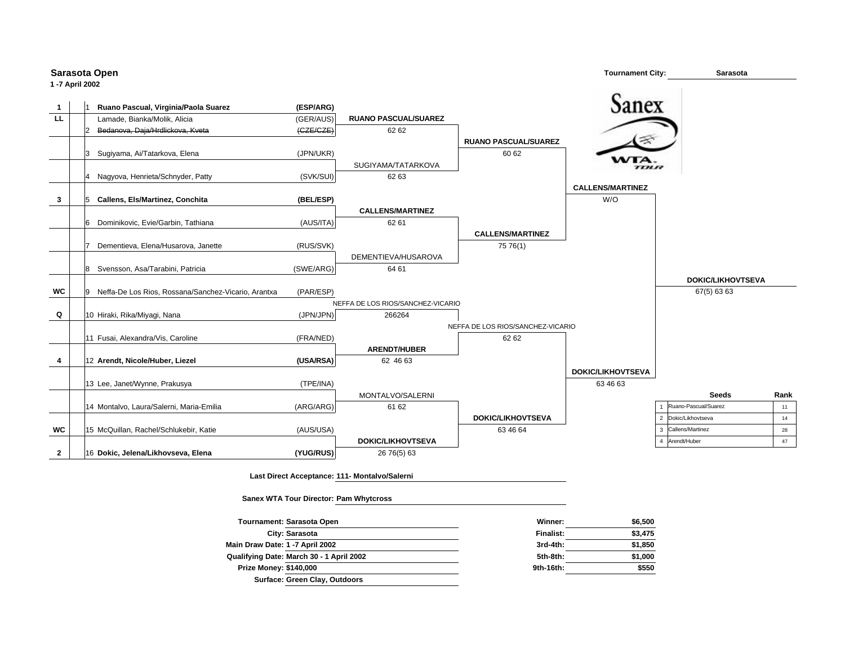| 1-7 April 2002 |     | Sarasota Open                                       |                            |                                               |                                   | <b>Tournament City:</b>  | <b>Sarasota</b>          |      |
|----------------|-----|-----------------------------------------------------|----------------------------|-----------------------------------------------|-----------------------------------|--------------------------|--------------------------|------|
| $\mathbf{1}$   |     | Ruano Pascual, Virginia/Paola Suarez                | (ESP/ARG)                  |                                               |                                   | Sanex                    |                          |      |
| <b>LL</b>      |     | Lamade, Bianka/Molik, Alicia                        | (GER/AUS)                  | <b>RUANO PASCUAL/SUAREZ</b>                   |                                   |                          |                          |      |
|                |     | Bedanova, Daja/Hrdlickova, Kveta                    | ( <i>CE</i> / <i>CZE</i> ) | 62 62                                         |                                   |                          |                          |      |
|                |     |                                                     |                            |                                               | <b>RUANO PASCUAL/SUAREZ</b>       |                          |                          |      |
|                | 13  | Sugiyama, Ai/Tatarkova, Elena                       | (JPN/UKR)                  |                                               | 60 62                             |                          |                          |      |
|                |     |                                                     |                            | SUGIYAMA/TATARKOVA                            |                                   | ,,,,,,                   |                          |      |
|                |     | 4 Nagyova, Henrieta/Schnyder, Patty                 | (SVK/SUI)                  | 62 63                                         |                                   |                          |                          |      |
|                |     |                                                     |                            |                                               |                                   | <b>CALLENS/MARTINEZ</b>  |                          |      |
| 3              | 15  | Callens, Els/Martinez, Conchita                     | (BEL/ESP)                  |                                               |                                   | W/O                      |                          |      |
|                |     |                                                     |                            | <b>CALLENS/MARTINEZ</b>                       |                                   |                          |                          |      |
|                | 16  | Dominikovic, Evie/Garbin, Tathiana                  | (AUS/ITA)                  | 62 61                                         |                                   |                          |                          |      |
|                |     |                                                     |                            |                                               | <b>CALLENS/MARTINEZ</b>           |                          |                          |      |
|                | 17  | Dementieva, Elena/Husarova, Janette                 | (RUS/SVK)                  |                                               | 75 76(1)                          |                          |                          |      |
|                |     |                                                     |                            | DEMENTIEVA/HUSAROVA                           |                                   |                          |                          |      |
|                | 8   | Svensson, Asa/Tarabini, Patricia                    | (SWE/ARG)                  | 64 61                                         |                                   |                          |                          |      |
|                |     |                                                     |                            |                                               |                                   |                          | <b>DOKIC/LIKHOVTSEVA</b> |      |
| WC             | l 9 | Neffa-De Los Rios, Rossana/Sanchez-Vicario, Arantxa | (PAR/ESP)                  |                                               |                                   |                          | 67(5) 63 63              |      |
|                |     |                                                     |                            | NEFFA DE LOS RIOS/SANCHEZ-VICARIO             |                                   |                          |                          |      |
| Q              |     | 10 Hiraki, Rika/Miyagi, Nana                        | (JPN/JPN)                  | 266264                                        |                                   |                          |                          |      |
|                |     |                                                     |                            |                                               | NEFFA DE LOS RIOS/SANCHEZ-VICARIO |                          |                          |      |
|                |     | 11 Fusai, Alexandra/Vis, Caroline                   | (FRA/NED)                  |                                               | 62 62                             |                          |                          |      |
|                |     |                                                     |                            | <b>ARENDT/HUBER</b>                           |                                   |                          |                          |      |
| 4              |     | 12 Arendt, Nicole/Huber, Liezel                     | (USA/RSA)                  | 62 46 63                                      |                                   |                          |                          |      |
|                |     |                                                     |                            |                                               |                                   | <b>DOKIC/LIKHOVTSEVA</b> |                          |      |
|                |     | 13 Lee, Janet/Wynne, Prakusya                       | (TPE/INA)                  |                                               |                                   | 63 46 63                 |                          |      |
|                |     |                                                     |                            | MONTALVO/SALERNI                              |                                   |                          | <b>Seeds</b>             | Rank |
|                |     | 14 Montalvo, Laura/Salerni, Maria-Emilia            | (ARG/ARG)                  | 61 62                                         |                                   |                          | Ruano-Pascual/Suarez     | 11   |
|                |     |                                                     |                            |                                               | <b>DOKIC/LIKHOVTSEVA</b>          |                          | 2 Dokic/Likhovtseva      | 14   |
| <b>WC</b>      |     | 15 McQuillan, Rachel/Schlukebir, Katie              | (AUS/USA)                  |                                               | 63 46 64                          |                          | 3 Callens/Martinez       | 28   |
|                |     |                                                     |                            | <b>DOKIC/LIKHOVTSEVA</b>                      |                                   |                          | Arendt/Huber             | 47   |
| $\mathbf{2}$   |     | 16 Dokic, Jelena/Likhovseva, Elena                  | (YUG/RUS)                  | 26 76(5) 63                                   |                                   |                          |                          |      |
|                |     |                                                     |                            | Last Direct Acceptance: 111- Montalvo/Salerni |                                   |                          |                          |      |

**Sanex WTA Tour Director: Pam Whytcross**

| <b>Tournament: Sarasota Open</b>         | Winner:   | \$6,500 |  |
|------------------------------------------|-----------|---------|--|
| City: Sarasota                           | Finalist: | \$3,475 |  |
| Main Draw Date: 1 -7 April 2002          | 3rd-4th:  | \$1,850 |  |
| Qualifying Date: March 30 - 1 April 2002 | 5th-8th:  | \$1,000 |  |
| <b>Prize Money: \$140,000</b>            | 9th-16th: | \$550   |  |
| Surface: Green Clay, Outdoors            |           |         |  |